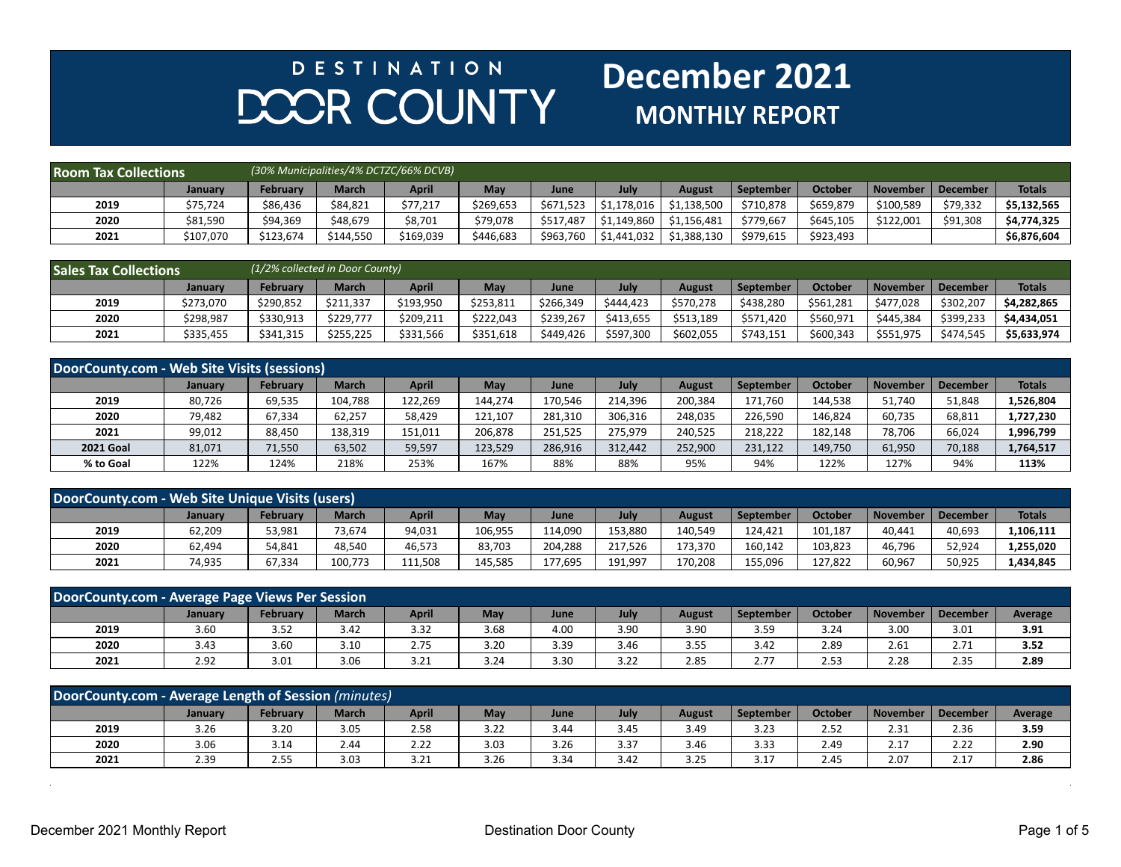## **DESTINATION** DOOR COUNTY

## **December 2021 MONTHLY REPORT**

| <b>Room Tax Collections</b> |                |           |              | (30% Municipalities/4% DCTZC/66% DCVB) |           |           |             |             |                  |                |                 |          |               |
|-----------------------------|----------------|-----------|--------------|----------------------------------------|-----------|-----------|-------------|-------------|------------------|----------------|-----------------|----------|---------------|
|                             | <b>January</b> | February  | <b>March</b> | <b>April</b>                           | May       | June      | July        | August      | <b>September</b> | <b>October</b> | <b>November</b> | December | <b>Totals</b> |
| 2019                        | \$75.724       | \$86,436  | \$84,821     | \$77.217                               | \$269,653 | \$671.523 | \$1.178.016 | \$1,138,500 | \$710.878        | \$659,879      | \$100.589       | \$79,332 | \$5.132.565   |
| 2020                        | \$81,590       | \$94,369  | \$48.679     | \$8,701                                | \$79,078  | \$517.487 | \$1.149.860 | \$1.156.481 | \$779,667        | \$645,105      | \$122.001       | \$91,308 | \$4,774,325   |
| 2021                        | \$107,070      | \$123,674 | \$144,550    | \$169,039                              | \$446,683 | \$963,760 | \$1,441,032 | \$1,388,130 | \$979,615        | \$923,493      |                 |          | \$6,876,604   |

| <b>Sales Tax Collections</b> |                |                 | (1/2% collected in Door County) |              |           |           |           |               |           |                |                 |            |               |
|------------------------------|----------------|-----------------|---------------------------------|--------------|-----------|-----------|-----------|---------------|-----------|----------------|-----------------|------------|---------------|
|                              | <b>January</b> | <b>February</b> | <b>March</b>                    | <b>April</b> | May       | June      | July      | <b>August</b> | September | <b>October</b> | <b>November</b> | l December | <b>Totals</b> |
| 2019                         | \$273,070      | \$290.852       | \$211.337                       | \$193,950    | \$253,811 | \$266,349 | \$444.423 | \$570,278     | \$438.280 | \$561,281      | \$477.028       | \$302,207  | \$4.282.865   |
| 2020                         | \$298,987      | \$330,913       | \$229.777                       | \$209,211    | \$222.043 | \$239,267 | \$413,655 | \$513,189     | \$571,420 | \$560,971      | \$445.384       | \$399,233  | \$4,434,051   |
| 2021                         | \$335,455      | \$341,315       | \$255,225                       | \$331,566    | \$351,618 | \$449,426 | \$597,300 | \$602,055     | \$743,151 | \$600,343      | \$551,975       | \$474,545  | \$5,633,974   |

| DoorCounty.com - Web Site Visits (sessions) |                |                 |              |              |         |         |         |               |           |                |                 |                 |               |
|---------------------------------------------|----------------|-----------------|--------------|--------------|---------|---------|---------|---------------|-----------|----------------|-----------------|-----------------|---------------|
|                                             | <b>January</b> | <b>February</b> | <b>March</b> | <b>April</b> | May     | June    | July    | <b>August</b> | September | <b>October</b> | <b>November</b> | <b>December</b> | <b>Totals</b> |
| 2019                                        | 80,726         | 69,535          | 104,788      | 122,269      | 144,274 | 170.546 | 214.396 | 200,384       | 171,760   | 144.538        | 51,740          | 51,848          | 1,526,804     |
| 2020                                        | 79,482         | 67,334          | 62,257       | 58,429       | 121,107 | 281.310 | 306,316 | 248,035       | 226,590   | 146,824        | 60,735          | 68,811          | 1,727,230     |
| 2021                                        | 99,012         | 88,450          | 138,319      | 151,011      | 206,878 | 251,525 | 275,979 | 240,525       | 218,222   | 182.148        | 78,706          | 66,024          | 1,996,799     |
| <b>2021 Goal</b>                            | 81,071         | 71,550          | 63,502       | 59,597       | 123,529 | 286,916 | 312.442 | 252,900       | 231,122   | 149,750        | 61,950          | 70,188          | 1,764,517     |
| % to Goal                                   | 122%           | 124%            | 218%         | 253%         | 167%    | 88%     | 88%     | 95%           | 94%       | 122%           | 127%            | 94%             | 113%          |

| DoorCounty.com - Web Site Unique Visits (users) |         |                 |              |              |         |         |         |         |                  |                |          |          |               |
|-------------------------------------------------|---------|-----------------|--------------|--------------|---------|---------|---------|---------|------------------|----------------|----------|----------|---------------|
|                                                 | Januarv | <b>February</b> | <b>March</b> | <b>April</b> | Mav     | June    | July    | August  | <b>September</b> | <b>October</b> | November | December | <b>Totals</b> |
| 2019                                            | 62,209  | 53,981          | 73.674       | 94,031       | 106,955 | 114,090 | 153.880 | 140,549 | 124.421          | 101.187        | 40.441   | 40,693   | L,106,111     |
| 2020                                            | 62,494  | 54,841          | 48,540       | 46,573       | 83,703  | 204,288 | 217.526 | 173.370 | 160,142          | 103,823        | 46.796   | 52,924   | 1,255,020     |
| 2021                                            | 74,935  | 67,334          | 100.773      | 111,508      | 145.585 | 177,695 | 191.997 | 170.208 | 155.096          | 127,822        | 60,967   | 50,925   | 1,434,845     |

| DoorCounty.com - Average Page Views Per Session |                |          |              |              |      |      |      |               |                  |                |          |             |                |
|-------------------------------------------------|----------------|----------|--------------|--------------|------|------|------|---------------|------------------|----------------|----------|-------------|----------------|
|                                                 | <b>January</b> | February | <b>March</b> | <b>April</b> | May  | June | July | <b>August</b> | <b>September</b> | <b>October</b> | November | December    | <b>Average</b> |
| 2019                                            | 3.60           | 3.52     | 3.42         | 3.32         | 3.68 | 4.00 | 3.90 | 3.90          | 3.59             | 3.24           | 3.00     | 3.01        | 3.91           |
| 2020                                            | 3.43           | 3.60     | 3.10         | 2.75         | 3.20 | 3.39 | 3.46 | 3.55          | 3.42             | 2.89           | 2.61     | 271<br>4.11 | 3.52           |
| 2021                                            | 2.92           | 3.01     | 3.06         | 3.21         | 3.24 | 3.30 | 3.22 | 2.85          | 2.77             | 2.53           | 2.28     | 2.35        | 2.89           |

| DoorCounty.com - Average Length of Session (minutes) |         |               |              |              |      |      |      |               |           |                |                 |             |         |
|------------------------------------------------------|---------|---------------|--------------|--------------|------|------|------|---------------|-----------|----------------|-----------------|-------------|---------|
|                                                      | Januarv | February      | <b>March</b> | <b>April</b> | May  | June | July | <b>August</b> | September | <b>October</b> | <b>November</b> | December    | Average |
| 2019                                                 | 3.26    | 3.20          | 3.05         | 2.58         | 3.22 | 3.44 | 3.45 | 3.49          | 3.23      | 2.52           | 2.31            | 2.36        | 3.59    |
| 2020                                                 | 3.06    | 3.14          | 2.44         | 2.22         | 3.03 | 3.26 | 3.37 | 3.46          | 3.33      | 2.49           | 2.17            | ר ה<br>2.22 | 2.90    |
| 2021                                                 | 2.39    | . .-<br>ر ر.ر | 3.03         | 3.21         | 3.26 | 3.34 | 3.42 | 3.25          | 3.17      | 2.45           | 2.07            | 2.17        | 2.86    |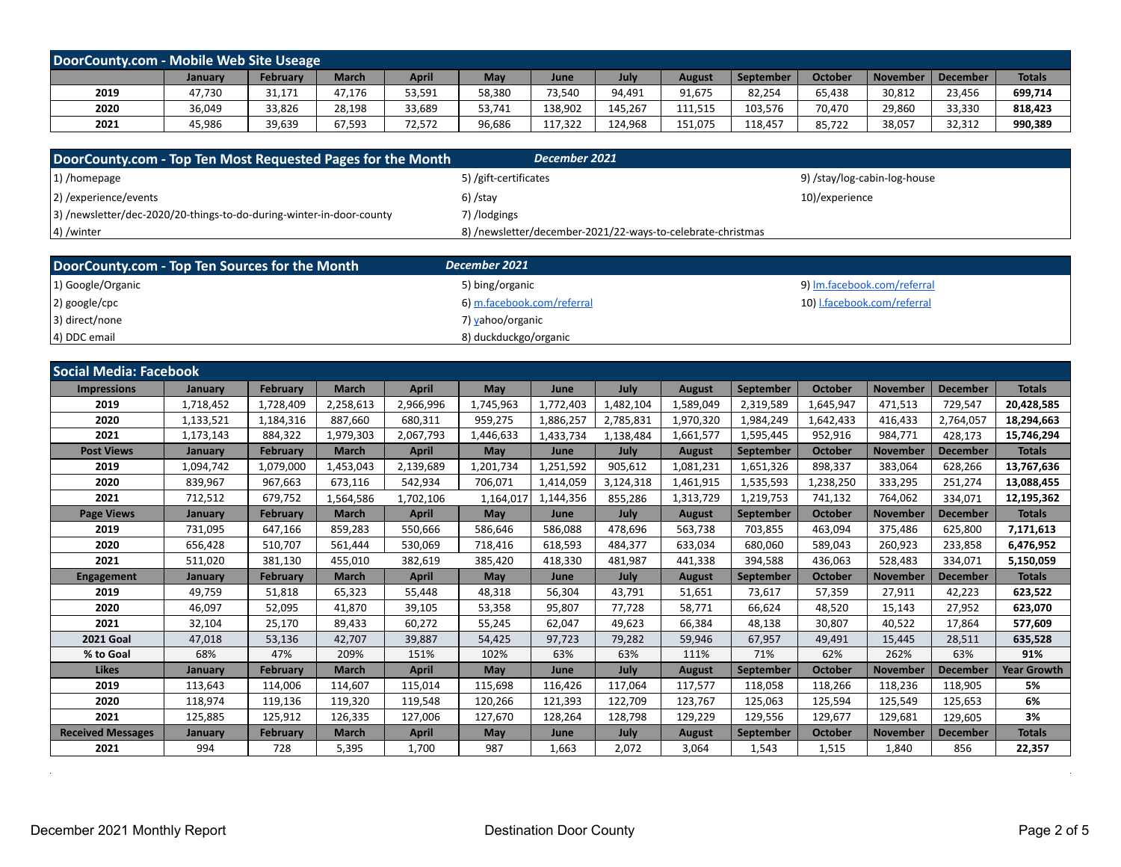| DoorCounty.com - Mobile Web Site Useage |         |                 |              |              |        |         |         |         |           |                |                 |          |               |
|-----------------------------------------|---------|-----------------|--------------|--------------|--------|---------|---------|---------|-----------|----------------|-----------------|----------|---------------|
|                                         | January | <b>February</b> | <b>March</b> | <b>April</b> | May    | June    | July    | August  | September | <b>October</b> | <b>November</b> | December | <b>Totals</b> |
| 2019                                    | 47,730  | 31,171          | 47,176       | 53,591       | 58,380 | 73,540  | 94,491  | 91,675  | 82,254    | 65,438         | 30,812          | 23,456   | 699,714       |
| 2020                                    | 36,049  | 33,826          | 28,198       | 33,689       | 53,741 | 138,902 | 145,267 | 111,515 | 103,576   | 70,470         | 29,860          | 33,330   | 818,423       |
| 2021                                    | 45,986  | 39,639          | 67,593       | 72,572       | 96,686 | 117,322 | 124.968 | 151,075 | 118.457   | 85,722         | 38,057          | 32,312   | 990,389       |

| $ 1\rangle$ /homepage<br>5) /gift-certificates<br>9) /stay/log-cabin-log-house       | DoorCounty.com - Top Ten Most Requested Pages for the Month | December 2021 ' |                |
|--------------------------------------------------------------------------------------|-------------------------------------------------------------|-----------------|----------------|
|                                                                                      |                                                             |                 |                |
|                                                                                      | 2) / experience/events                                      | $6)$ /stay      | 10)/experience |
| 3) /newsletter/dec-2020/20-things-to-do-during-winter-in-door-county<br>7) /lodgings |                                                             |                 |                |
| 8) /newsletter/december-2021/22-ways-to-celebrate-christmas<br>$ 4\rangle$ /winter   |                                                             |                 |                |

| DoorCounty.com - Top Ten Sources for the Month | December 2021              |                             |
|------------------------------------------------|----------------------------|-----------------------------|
| 1) Google/Organic                              | 5) bing/organic            | 9) Im.facebook.com/referral |
| $ 2)$ google/cpc                               | 6) m.facebook.com/referral | 10) I.facebook.com/referral |
| 3) direct/none                                 | 7) yahoo/organic           |                             |
| 4) DDC email                                   | 8) duckduckgo/organic      |                             |

| <b>Social Media: Facebook</b> |                |                 |              |              |           |           |           |               |                  |                |                 |                 |                    |
|-------------------------------|----------------|-----------------|--------------|--------------|-----------|-----------|-----------|---------------|------------------|----------------|-----------------|-----------------|--------------------|
| <b>Impressions</b>            | January        | <b>February</b> | <b>March</b> | <b>April</b> | May       | June      | July      | <b>August</b> | September        | <b>October</b> | <b>November</b> | <b>December</b> | <b>Totals</b>      |
| 2019                          | 1,718,452      | 1,728,409       | 2,258,613    | 2,966,996    | 1,745,963 | 1,772,403 | 1.482.104 | 1,589,049     | 2,319,589        | 1,645,947      | 471.513         | 729,547         | 20,428,585         |
| 2020                          | 1,133,521      | 1,184,316       | 887,660      | 680,311      | 959,275   | 1,886,257 | 2,785,831 | 1,970,320     | 1,984,249        | 1,642,433      | 416,433         | 2,764,057       | 18,294,663         |
| 2021                          | 1,173,143      | 884,322         | 1,979,303    | 2,067,793    | 1,446,633 | 1.433.734 | 1,138,484 | 1,661,577     | 1,595,445        | 952,916        | 984,771         | 428.173         | 15,746,294         |
| <b>Post Views</b>             | January        | <b>February</b> | <b>March</b> | <b>April</b> | May       | June      | July      | <b>August</b> | September        | <b>October</b> | <b>November</b> | <b>December</b> | <b>Totals</b>      |
| 2019                          | 1,094,742      | 1,079,000       | 1,453,043    | 2,139,689    | 1,201,734 | 1,251,592 | 905.612   | 1,081,231     | 1,651,326        | 898,337        | 383.064         | 628,266         | 13,767,636         |
| 2020                          | 839,967        | 967,663         | 673,116      | 542,934      | 706,071   | 1,414,059 | 3,124,318 | 1,461,915     | 1,535,593        | 1,238,250      | 333,295         | 251,274         | 13,088,455         |
| 2021                          | 712,512        | 679,752         | 1,564,586    | 1,702,106    | 1,164,017 | 1,144,356 | 855,286   | 1,313,729     | 1,219,753        | 741,132        | 764,062         | 334,071         | 12,195,362         |
| <b>Page Views</b>             | January        | <b>February</b> | <b>March</b> | <b>April</b> | May       | June      | July      | <b>August</b> | September        | <b>October</b> | <b>November</b> | <b>December</b> | <b>Totals</b>      |
| 2019                          | 731,095        | 647.166         | 859,283      | 550,666      | 586.646   | 586,088   | 478.696   | 563,738       | 703.855          | 463.094        | 375,486         | 625,800         | 7,171,613          |
| 2020                          | 656,428        | 510,707         | 561,444      | 530,069      | 718,416   | 618,593   | 484.377   | 633,034       | 680.060          | 589,043        | 260,923         | 233,858         | 6,476,952          |
| 2021                          | 511,020        | 381,130         | 455,010      | 382,619      | 385,420   | 418,330   | 481,987   | 441,338       | 394,588          | 436,063        | 528,483         | 334,071         | 5,150,059          |
| <b>Engagement</b>             | January        | February        | <b>March</b> | <b>April</b> | May       | June      | July      | <b>August</b> | September        | <b>October</b> | <b>November</b> | <b>December</b> | <b>Totals</b>      |
| 2019                          | 49,759         | 51,818          | 65,323       | 55,448       | 48,318    | 56,304    | 43,791    | 51,651        | 73,617           | 57,359         | 27,911          | 42,223          | 623,522            |
| 2020                          | 46,097         | 52,095          | 41.870       | 39,105       | 53,358    | 95,807    | 77.728    | 58,771        | 66,624           | 48,520         | 15,143          | 27,952          | 623,070            |
| 2021                          | 32,104         | 25,170          | 89.433       | 60,272       | 55,245    | 62,047    | 49,623    | 66,384        | 48,138           | 30.807         | 40.522          | 17,864          | 577,609            |
| <b>2021 Goal</b>              | 47,018         | 53,136          | 42,707       | 39,887       | 54,425    | 97,723    | 79,282    | 59,946        | 67,957           | 49,491         | 15,445          | 28,511          | 635,528            |
| % to Goal                     | 68%            | 47%             | 209%         | 151%         | 102%      | 63%       | 63%       | 111%          | 71%              | 62%            | 262%            | 63%             | 91%                |
| <b>Likes</b>                  | <b>January</b> | <b>February</b> | <b>March</b> | <b>April</b> | May       | June      | July      | <b>August</b> | <b>September</b> | <b>October</b> | <b>November</b> | <b>December</b> | <b>Year Growth</b> |
| 2019                          | 113,643        | 114,006         | 114,607      | 115,014      | 115,698   | 116,426   | 117,064   | 117,577       | 118,058          | 118,266        | 118,236         | 118,905         | 5%                 |
| 2020                          | 118,974        | 119,136         | 119,320      | 119,548      | 120,266   | 121,393   | 122,709   | 123,767       | 125,063          | 125,594        | 125,549         | 125,653         | 6%                 |
| 2021                          | 125,885        | 125,912         | 126,335      | 127,006      | 127.670   | 128,264   | 128,798   | 129,229       | 129,556          | 129,677        | 129,681         | 129,605         | 3%                 |
| <b>Received Messages</b>      | <b>January</b> | <b>February</b> | <b>March</b> | <b>April</b> | May       | June      | July      | <b>August</b> | <b>September</b> | <b>October</b> | <b>November</b> | <b>December</b> | <b>Totals</b>      |
| 2021                          | 994            | 728             | 5,395        | 1.700        | 987       | 1,663     | 2,072     | 3.064         | 1,543            | 1,515          | 1.840           | 856             | 22,357             |

 $\overline{\phantom{a}}$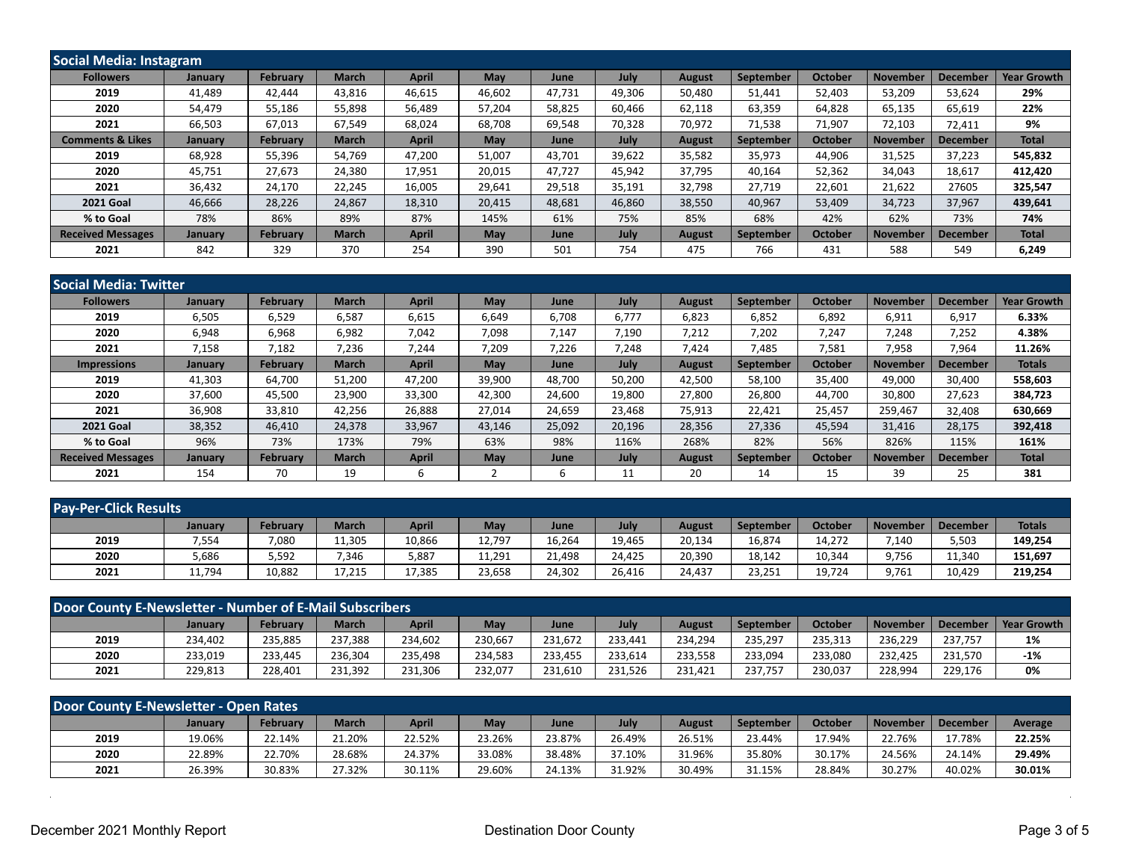| Social Media: Instagram     |         |                 |              |              |        |        |        |               |           |                |                 |                 |                    |  |
|-----------------------------|---------|-----------------|--------------|--------------|--------|--------|--------|---------------|-----------|----------------|-----------------|-----------------|--------------------|--|
| <b>Followers</b>            | January | February        | <b>March</b> | <b>April</b> | May    | June   | July   | <b>August</b> | September | <b>October</b> | November        | <b>December</b> | <b>Year Growth</b> |  |
| 2019                        | 41,489  | 42,444          | 43,816       | 46,615       | 46,602 | 47,731 | 49,306 | 50,480        | 51,441    | 52,403         | 53,209          | 53,624          | 29%                |  |
| 2020                        | 54,479  | 55,186          | 55.898       | 56,489       | 57,204 | 58,825 | 60,466 | 62,118        | 63,359    | 64,828         | 65,135          | 65,619          | 22%                |  |
| 2021                        | 66,503  | 67,013          | 67,549       | 68,024       | 68,708 | 69,548 | 70,328 | 70,972        | 71,538    | 71,907         | 72,103          | 72,411          | 9%                 |  |
| <b>Comments &amp; Likes</b> | January | February        | <b>March</b> | <b>April</b> | May    | June   | July   | <b>August</b> | September | <b>October</b> | <b>November</b> | <b>December</b> | <b>Total</b>       |  |
| 2019                        | 68,928  | 55,396          | 54,769       | 47,200       | 51,007 | 43,701 | 39,622 | 35,582        | 35,973    | 44,906         | 31,525          | 37,223          | 545,832            |  |
| 2020                        | 45,751  | 27,673          | 24.380       | 17,951       | 20,015 | 47.727 | 45,942 | 37,795        | 40.164    | 52,362         | 34,043          | 18,617          | 412,420            |  |
| 2021                        | 36,432  | 24,170          | 22,245       | 16,005       | 29,641 | 29,518 | 35,191 | 32,798        | 27,719    | 22,601         | 21,622          | 27605           | 325,547            |  |
| <b>2021 Goal</b>            | 46,666  | 28,226          | 24,867       | 18,310       | 20,415 | 48,681 | 46,860 | 38,550        | 40,967    | 53,409         | 34,723          | 37,967          | 439,641            |  |
| % to Goal                   | 78%     | 86%             | 89%          | 87%          | 145%   | 61%    | 75%    | 85%           | 68%       | 42%            | 62%             | 73%             | 74%                |  |
| <b>Received Messages</b>    | January | <b>February</b> | <b>March</b> | <b>April</b> | May    | June   | July   | <b>August</b> | September | <b>October</b> | <b>November</b> | <b>December</b> | <b>Total</b>       |  |
| 2021                        | 842     | 329             | 370          | 254          | 390    | 501    | 754    | 475           | 766       | 431            | 588             | 549             | 6,249              |  |

| <b>Social Media: Twitter</b> |                |                 |              |              |            |        |             |               |                  |                |                 |                 |                    |
|------------------------------|----------------|-----------------|--------------|--------------|------------|--------|-------------|---------------|------------------|----------------|-----------------|-----------------|--------------------|
| <b>Followers</b>             | January        | <b>February</b> | <b>March</b> | <b>April</b> | May        | June   | <b>July</b> | <b>August</b> | September        | <b>October</b> | <b>November</b> | <b>December</b> | <b>Year Growth</b> |
| 2019                         | 6,505          | 6,529           | 6,587        | 6,615        | 6,649      | 6,708  | 6,777       | 6,823         | 6,852            | 6,892          | 6,911           | 6,917           | 6.33%              |
| 2020                         | 6,948          | 6,968           | 6,982        | 7,042        | 7,098      | 7,147  | 7,190       | 7,212         | 7,202            | 7,247          | 7,248           | 7,252           | 4.38%              |
| 2021                         | 7,158          | 7,182           | 7,236        | 7,244        | 7,209      | 7,226  | 7,248       | 7,424         | 7,485            | 7,581          | 7,958           | 7,964           | 11.26%             |
| <b>Impressions</b>           | January        | <b>February</b> | <b>March</b> | <b>April</b> | May        | June   | July        | <b>August</b> | <b>September</b> | <b>October</b> | <b>November</b> | <b>December</b> | <b>Totals</b>      |
| 2019                         | 41,303         | 64.700          | 51,200       | 47.200       | 39,900     | 48.700 | 50,200      | 42,500        | 58,100           | 35,400         | 49.000          | 30,400          | 558,603            |
| 2020                         | 37,600         | 45,500          | 23,900       | 33,300       | 42,300     | 24,600 | 19,800      | 27,800        | 26,800           | 44,700         | 30,800          | 27,623          | 384,723            |
| 2021                         | 36,908         | 33,810          | 42,256       | 26,888       | 27,014     | 24,659 | 23,468      | 75,913        | 22,421           | 25,457         | 259,467         | 32,408          | 630,669            |
| <b>2021 Goal</b>             | 38,352         | 46.410          | 24.378       | 33,967       | 43,146     | 25,092 | 20,196      | 28,356        | 27,336           | 45,594         | 31.416          | 28,175          | 392,418            |
| % to Goal                    | 96%            | 73%             | 173%         | 79%          | 63%        | 98%    | 116%        | 268%          | 82%              | 56%            | 826%            | 115%            | 161%               |
| <b>Received Messages</b>     | <b>January</b> | <b>February</b> | <b>March</b> | <b>April</b> | <b>May</b> | June   | July        | <b>August</b> | September        | <b>October</b> | <b>November</b> | <b>December</b> | <b>Total</b>       |
| 2021                         | 154            | 70              | 19           | b            |            | ь      | 11          | 20            | 14               | 15             | 39              | 25              | 381                |

| <b>Pay-Per-Click Results</b> |                |                 |              |              |        |        |        |               |                  |                |          |          |               |
|------------------------------|----------------|-----------------|--------------|--------------|--------|--------|--------|---------------|------------------|----------------|----------|----------|---------------|
|                              | <b>January</b> | <b>February</b> | <b>March</b> | <b>April</b> | May    | June   | July   | <b>August</b> | <b>September</b> | <b>October</b> | November | December | <b>Totals</b> |
| 2019                         | 7,554          | 7,080           | 11,305       | 10,866       | 12,797 | 16,264 | 19,465 | 20,134        | 16,874           | 14,272         | 7,140    | 5,503    | 149,254       |
| 2020                         | 5,686          | 5,592           | .346         | 5,887        | 11,291 | 21,498 | 24.425 | 20,390        | 18,142           | 10,344         | 9,756    | 11.340   | 151,697       |
| 2021                         | 11,794         | 10,882          | 17,215       | 17,385       | 23,658 | 24,302 | 26.416 | 24,437        | 23,251           | 19,724         | 9,761    | 10.429   | 219,254       |

| <b>Door County E-Newsletter - Number of E-Mail Subscribers</b> |                |          |              |              |         |         |         |         |           |                |                 |          |                    |
|----------------------------------------------------------------|----------------|----------|--------------|--------------|---------|---------|---------|---------|-----------|----------------|-----------------|----------|--------------------|
|                                                                | <b>January</b> | February | <b>March</b> | <b>April</b> | May     | June    | July    | August  | September | <b>October</b> | <b>November</b> | December | <b>Year Growth</b> |
| 2019                                                           | 234,402        | 235,885  | 237.388      | 234,602      | 230,667 | 231.672 | 233.441 | 234,294 | 235,297   | 235,313        | 236.229         | 237.757  | 1%                 |
| 2020                                                           | 233,019        | 233,445  | 236.304      | 235.498      | 234.583 | 233.455 | 233.614 | 233.558 | 233.094   | 233.080        | 232.425         | 231.570  | $-1%$              |
| 2021                                                           | 229,813        | 228,401  | 231,392      | 231,306      | 232,077 | 231,610 | 231.526 | 231,421 | 237.757   | 230,037        | 228.994         | 229,176  | 0%                 |

| Door County E-Newsletter - Open Rates |                |                 |              |              |        |        |        |        |           |                |                 |          |         |
|---------------------------------------|----------------|-----------------|--------------|--------------|--------|--------|--------|--------|-----------|----------------|-----------------|----------|---------|
|                                       | <b>January</b> | <b>February</b> | <b>March</b> | <b>April</b> | May    | June   | July   | August | September | <b>October</b> | <b>November</b> | December | Average |
| 2019                                  | 19.06%         | 22.14%          | 21.20%       | 22.52%       | 23.26% | 23.87% | 26.49% | 26.51% | 23.44%    | 17.94%         | 22.76%          | 17.78%   | 22.25%  |
| 2020                                  | 22.89%         | 22.70%          | 28.68%       | 24.37%       | 33.08% | 38.48% | 37.10% | 31.96% | 35.80%    | 30.17%         | 24.56%          | 24.14%   | 29.49%  |
| 2021                                  | 26.39%         | 30.83%          | 27.32%       | 30.11%       | 29.60% | 24.13% | 31.92% | 30.49% | 31.15%    | 28.84%         | 30.27%          | 40.02%   | 30.01%  |

 $\sim$ 

÷,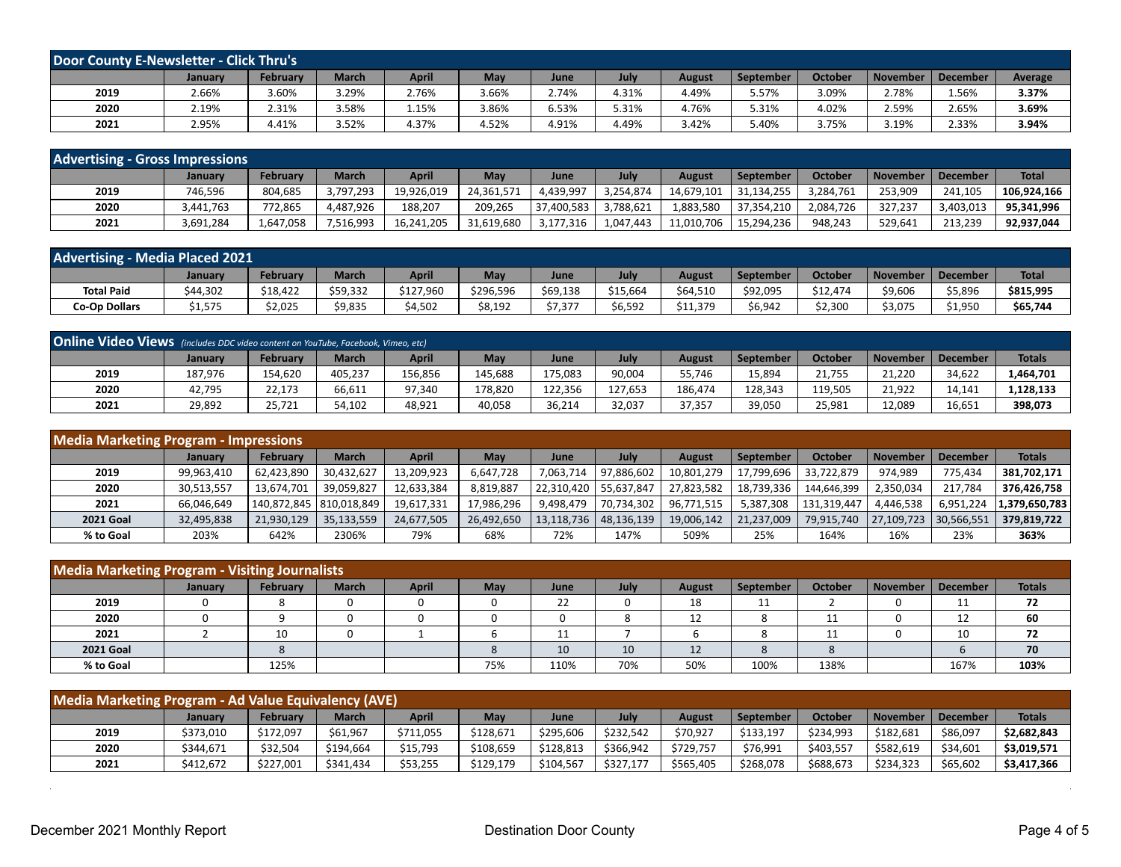| <b>Door County E-Newsletter - Click Thru's</b> |         |                 |              |       |       |       |       |               |                  |                |                 |          |         |
|------------------------------------------------|---------|-----------------|--------------|-------|-------|-------|-------|---------------|------------------|----------------|-----------------|----------|---------|
|                                                | January | <b>February</b> | <b>March</b> | April | May   | June  | July  | <b>August</b> | <b>September</b> | <b>October</b> | <b>November</b> | December | Average |
| 2019                                           | 2.66%   | 3.60%           | 29%،         | 2.76% | 3.66% | 2.74% | 4.31% | 4.49%         | 5.57%            | 3.09%          | 2.78%           | 1.56%    | 3.37%   |
| 2020                                           | 2.19%   | 2.31%           | 3.58%        | 1.15% | 3.86% | 6.53% | 5.31% | 4.76%         | 5.31%            | 4.02%          | 2.59%           | 2.65%    | 3.69%   |
| 2021                                           | 2.95%   | 4.41%           | 3.52%        | 4.37% | 4.52% | 4.91% | 4.49% | 3.42%         | 5.40%            | 3.75%          | 3.19%           | 2.33%    | 3.94%   |

| <b>Advertising - Gross Impressions</b> |           |           |              |              |            |             |           |            |            |                |                 |           |              |
|----------------------------------------|-----------|-----------|--------------|--------------|------------|-------------|-----------|------------|------------|----------------|-----------------|-----------|--------------|
|                                        | January   | Februarv  | <b>March</b> | <b>April</b> | May        | <b>June</b> | July      | August     | September  | <b>October</b> | <b>November</b> | December  | <b>Total</b> |
| 2019                                   | 746,596   | 804,685   | 3.797.293    | 19,926,019   | 24.361.571 | 4,439,997   | 3.254.874 | 14,679,101 | 31.134.255 | 3,284,761      | 253,909         | 241.105   | 106.924.166  |
| 2020                                   | 3,441,763 | 772.865   | 4.487.926    | 188.207      | 209.265    | 37,400,583  | 3,788,621 | 1,883,580  | 37,354,210 | 2,084,726      | 327.237         | 3,403,013 | 95.341.996   |
| 2021                                   | 3,691,284 | 1,647,058 | 7,516,993    | 16,241,205   | 31,619,680 | 3,177,316   | 1.047.443 | 11,010,706 | 15.294.236 | 948.243        | 529.641         | 213.239   | 92.937.044   |

| <b>Advertising - Media Placed 2021</b> |             |          |              |           |           |          |          |               |                  |          |          |          |              |
|----------------------------------------|-------------|----------|--------------|-----------|-----------|----------|----------|---------------|------------------|----------|----------|----------|--------------|
|                                        | January     | Februarv | <b>March</b> | April     | May       | June     | July     | <b>August</b> | <b>September</b> | October  | November | December | <b>Total</b> |
| <b>Total Paid</b>                      | \$44,302    | \$18,422 | \$59,332     | \$127,960 | \$296,596 | \$69,138 | \$15,664 | \$64,510      | \$92,095         | \$12,474 | \$9,606  | \$5,896  | \$815,995    |
| <b>Co-Op Dollars</b>                   | .<br>51,575 | \$2,025  | \$9,835      | \$4,502   | \$8,192   | \$7,377  | \$6,592  | \$11,379      | \$6,942          | \$2.300  | \$3,075  | \$1,950  | \$65,744     |

| Online Video Views (includes DDC video content on YouTube, Facebook, Vimeo, etc) |         |          |              |              |         |         |         |         |                  |                |                 |                 |               |
|----------------------------------------------------------------------------------|---------|----------|--------------|--------------|---------|---------|---------|---------|------------------|----------------|-----------------|-----------------|---------------|
|                                                                                  | January | February | <b>March</b> | <b>April</b> | May     | June    | July    | August  | <b>September</b> | <b>October</b> | <b>November</b> | <b>December</b> | <b>Totals</b> |
| 2019                                                                             | 187,976 | 154.620  | 405.237      | 156,856      | 145,688 | 175,083 | 90,004  | 55.746  | 15,894           | 21.755         | 21.220          | 34,622          | 1,464,701     |
| 2020                                                                             | 42,795  | 22,173   | 66,611       | 97.340       | 178,820 | 122.356 | 127.653 | 186.474 | 128,343          | 119,505        | 21.922          | 14,141          | 1,128,133     |
| 2021                                                                             | 29.892  | 25.721   | 54.102       | 48,921       | 40,058  | 36.214  | 32,037  | 37,357  | 39,050           | 25.981         | 12.089          | 16,651          | 398,073       |

| <b>Media Marketing Program - Impressions</b> |                |                 |                         |              |            |            |            |            |            |                |                 |                 |               |
|----------------------------------------------|----------------|-----------------|-------------------------|--------------|------------|------------|------------|------------|------------|----------------|-----------------|-----------------|---------------|
|                                              | <b>January</b> | <b>February</b> | <b>March</b>            | <b>April</b> | Mav        | June       | July       | August     | September  | <b>October</b> | <b>November</b> | <b>December</b> | <b>Totals</b> |
| 2019                                         | 99,963,410     | 62.423.890      | 30.432.627              | 13,209,923   | 6.647.728  | 7.063.714  | 97.886.602 | 10,801,279 | 17.799.696 | 33.722.879     | 974.989         | 775.434         | 381,702,171   |
| 2020                                         | 30,513,557     | 13,674,701      | 39,059,827              | 12,633,384   | 8,819,887  | 22,310,420 | 55.637.847 | 27,823,582 | 18,739,336 | 144,646,399    | 2,350,034       | 217.784         | 376,426,758   |
| 2021                                         | 66,046,649     |                 | 140,872,845 810,018,849 | 19,617,331   | 17,986,296 | 9,498,479  | 70,734,302 | 96,771,515 | 5,387,308  | 131,319,447    | 4.446.538       | 6,951,224       | 1,379,650,783 |
| <b>2021 Goal</b>                             | 32,495,838     | 21,930,129      | 35,133,559              | 24,677,505   | 26,492,650 | 13,118,736 | 48,136,139 | 19,006,142 | 21,237,009 | 79,915,740     | 27,109,723      | 30,566,551      | 379,819,722   |
| % to Goal                                    | 203%           | 642%            | 2306%                   | 79%          | 68%        | 72%        | 147%       | 509%       | 25%        | 164%           | 16%             | 23%             | 363%          |

| <b>Media Marketing Program - Visiting Journalists</b> |         |          |              |              |     |      |      |               |           |                |          |                 |               |
|-------------------------------------------------------|---------|----------|--------------|--------------|-----|------|------|---------------|-----------|----------------|----------|-----------------|---------------|
|                                                       | January | February | <b>March</b> | <b>April</b> | May | June | July | <b>August</b> | September | <b>October</b> | November | <b>December</b> | <b>Totals</b> |
| 2019                                                  |         |          |              |              |     | 22   |      | 18            | 11        |                |          | <b>. .</b>      | 72            |
| 2020                                                  |         |          |              |              |     |      |      | 12            |           | ᆠᆂ             |          | ᆠ               | 60            |
| 2021                                                  |         | 10       |              |              |     | 11   |      |               |           | 11             |          | 10              | 72            |
| <b>2021 Goal</b>                                      |         |          |              |              |     | 10   | 10   | 12            |           |                |          |                 | 70            |
| % to Goal                                             |         | 125%     |              |              | 75% | 110% | 70%  | 50%           | 100%      | 138%           |          | 167%            | 103%          |

| Media Marketing Program - Ad Value Equivalency (AVE) |           |           |           |           |           |           |           |           |           |                |           |                 |               |
|------------------------------------------------------|-----------|-----------|-----------|-----------|-----------|-----------|-----------|-----------|-----------|----------------|-----------|-----------------|---------------|
|                                                      | January   | February  | March     | April     | Mav       | June      | July      | August    | September | <b>October</b> | November  | <b>December</b> | <b>Totals</b> |
| 2019                                                 | \$373,010 | \$172,097 | \$61,967  | \$711,055 | \$128,671 | \$295,606 | \$232,542 | \$70,927  | \$133,197 | \$234,993      | \$182,681 | \$86,097        | \$2,682,843   |
| 2020                                                 | \$344,671 | \$32,504  | \$194.664 | \$15,793  | \$108,659 | \$128.813 | \$366,942 | \$729,757 | \$76,991  | \$403,557      | \$582,619 | \$34,601        | \$3,019,571   |
| 2021                                                 | \$412.672 | \$227.001 | \$341.434 | \$53,255  | \$129.179 | \$104.567 | \$327.177 | \$565,405 | \$268,078 | \$688,673      | \$234.323 | \$65,602        | \$3,417,366   |

 $\ddot{\phantom{a}}$